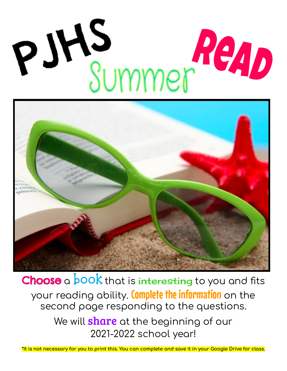## PJHS Summer ReAD



Choose a book that is interesting to you and fits your reading ability. Complete the information on the second page responding to the questions.

> We will **share** at the beginning of our 2021-2022 school year!